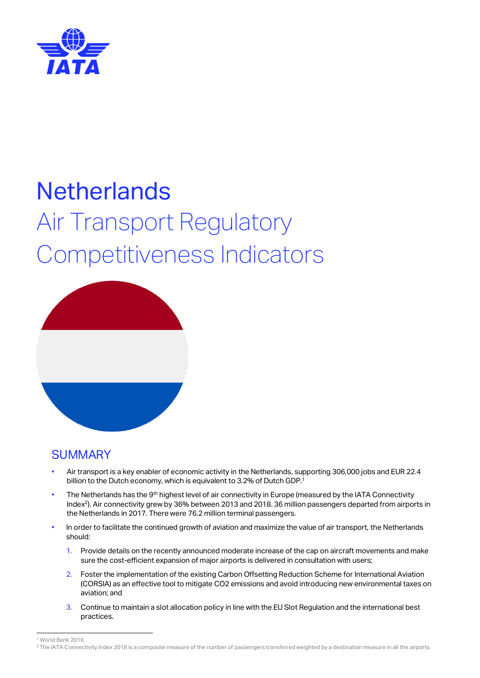

# **Netherlands** Air Transport Regulatory Competitiveness Indicators



## **SUMMARY**

- Air transport is a key enabler of economic activity in the Netherlands, supporting 306,000 jobs and EUR 22.4 billion to the Dutch economy, which is equivalent to 3.2% of Dutch GDP.<sup>1</sup>
- The Netherlands has the  $9<sup>th</sup>$  highest level of air connectivity in Europe (measured by the IATA Connectivity Index<sup>2</sup>). Air connectivity grew by 36% between 2013 and 2018. 36 million passengers departed from airports in the Netherlands in 2017. There were 76.2 million terminal passengers.
- In order to facilitate the continued growth of aviation and maximize the value of air transport, the Netherlands should:
	- 1. Provide details on the recently announced moderate increase of the cap on aircraft movements and make sure the cost-efficient expansion of major airports is delivered in consultation with users;
	- 2. Foster the implementation of the existing Carbon Offsetting Reduction Scheme for International Aviation (CORSIA) as an effective tool to mitigate CO2 emissions and avoid introducing new environmental taxes on aviation; and
	- 3. Continue to maintain a slot allocation policy in line with the EU Slot Regulation and the international best practices.

 $\overline{a}$ 

<sup>1</sup> World Bank 2016

<sup>&</sup>lt;sup>2</sup> The IATA Connectivity Index 2018 is a composite measure of the number of passengers transferred weighted by a destination measure in all the airports.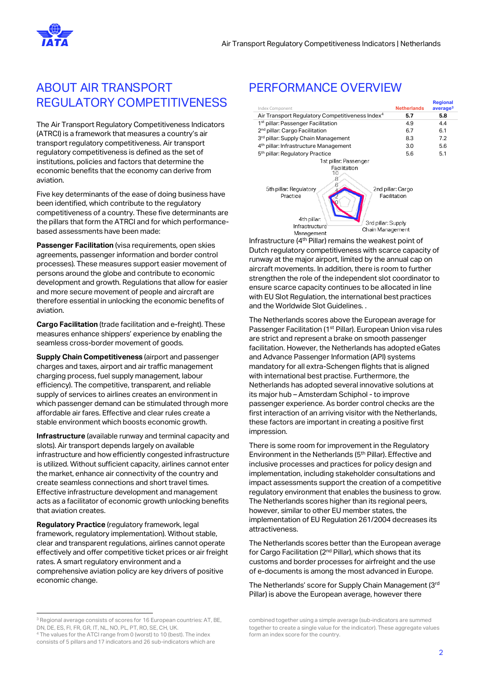

## ABOUT AIR TRANSPORT REGULATORY COMPETITIVENESS

The Air Transport Regulatory Competitiveness Indicators (ATRCI) is a framework that measures a country's air transport regulatory competitiveness. Air transport regulatory competitiveness is defined as the set of institutions, policies and factors that determine the economic benefits that the economy can derive from aviation.

Five key determinants of the ease of doing business have been identified, which contribute to the regulatory competitiveness of a country. These five determinants are the pillars that form the ATRCI and for which performancebased assessments have been made:

**Passenger Facilitation** (visa requirements, open skies agreements, passenger information and border control processes). These measures support easier movement of persons around the globe and contribute to economic development and growth. Regulations that allow for easier and more secure movement of people and aircraft are therefore essential in unlocking the economic benefits of aviation.

**Cargo Facilitation** (trade facilitation and e-freight). These measures enhance shippers' experience by enabling the seamless cross-border movement of goods.

**Supply Chain Competitiveness** (airport and passenger charges and taxes, airport and air traffic management charging process, fuel supply management, labour efficiency). The competitive, transparent, and reliable supply of services to airlines creates an environment in which passenger demand can be stimulated through more affordable air fares. Effective and clear rules create a stable environment which boosts economic growth.

**Infrastructure** (available runway and terminal capacity and slots). Air transport depends largely on available infrastructure and how efficiently congested infrastructure is utilized. Without sufficient capacity, airlines cannot enter the market, enhance air connectivity of the country and create seamless connections and short travel times. Effective infrastructure development and management acts as a facilitator of economic growth unlocking benefits that aviation creates.

**Regulatory Practice** (regulatory framework, legal framework, regulatory implementation). Without stable, clear and transparent regulations, airlines cannot operate effectively and offer competitive ticket prices or air freight rates. A smart regulatory environment and a comprehensive aviation policy are key drivers of positive economic change.

## PERFORMANCE OVERVIEW

| Index Component                                                                       | <b>Netherlands</b>                      | <b>Regional</b><br>average <sup>3</sup> |  |
|---------------------------------------------------------------------------------------|-----------------------------------------|-----------------------------------------|--|
| Air Transport Regulatory Competitiveness Index <sup>4</sup>                           | 5.7                                     | 5.8                                     |  |
| 1 <sup>st</sup> pillar: Passenger Facilitation                                        | 4.9                                     | 4.4                                     |  |
| 2 <sup>nd</sup> pillar: Cargo Facilitation                                            | 6.7                                     | 6.1                                     |  |
| 3 <sup>rd</sup> pillar: Supply Chain Management                                       | 8.3                                     | 7.2                                     |  |
| 4 <sup>th</sup> pillar: Infrastructure Management                                     | 3.0                                     | 5.6                                     |  |
| 5 <sup>th</sup> pillar: Regulatory Practice                                           | 5.6                                     | 5.1                                     |  |
| 1st pillar: Passenger                                                                 |                                         |                                         |  |
| Facilitation                                                                          |                                         |                                         |  |
| 5th pillar: Regulatory<br>Practice                                                    | 10<br>2nd pillar: Cargo<br>Facilitation |                                         |  |
| 4th pillar:<br>3rd pillar: Supply<br>Infrastructure<br>Chain Management<br>Management |                                         |                                         |  |

Infrastructure (4th Pillar) remains the weakest point of Dutch regulatory competitiveness with scarce capacity of runway at the major airport, limited by the annual cap on aircraft movements. In addition, there is room to further strengthen the role of the independent slot coordinator to ensure scarce capacity continues to be allocated in line with EU Slot Regulation, the international best practices and the Worldwide Slot Guidelines. .

The Netherlands scores above the European average for Passenger Facilitation (1<sup>st</sup> Pillar). European Union visa rules are strict and represent a brake on smooth passenger facilitation. However, the Netherlands has adopted eGates and Advance Passenger Information (API) systems mandatory for all extra-Schengen flights that is aligned with international best practise. Furthermore, the Netherlands has adopted several innovative solutions at its major hub – Amsterdam Schiphol - to improve passenger experience. As border control checks are the first interaction of an arriving visitor with the Netherlands, these factors are important in creating a positive first impression.

There is some room for improvement in the Regulatory Environment in the Netherlands (5<sup>th</sup> Pillar). Effective and inclusive processes and practices for policy design and implementation, including stakeholder consultations and impact assessments support the creation of a competitive regulatory environment that enables the business to grow. The Netherlands scores higher than its regional peers, however, similar to other EU member states, the implementation of EU Regulation 261/2004 decreases its attractiveness.

The Netherlands scores better than the European average for Cargo Facilitation (2<sup>nd</sup> Pillar), which shows that its customs and border processes for airfreight and the use of e-documents is among the most advanced in Europe.

The Netherlands' score for Supply Chain Management (3rd Pillar) is above the European average, however there

 $\overline{a}$ 

<sup>3</sup> Regional average consists of scores for 16 European countries: AT, BE, DN, DE, ES, FI, FR, GR, IT, NL, NO, PL, PT, RO, SE, CH, UK. <sup>4</sup> The values for the ATCI range from 0 (worst) to 10 (best). The index

consists of 5 pillars and 17 indicators and 26 sub-indicators which are

combined together using a simple average (sub-indicators are summed together to create a single value for the indicator). These aggregate values form an index score for the country.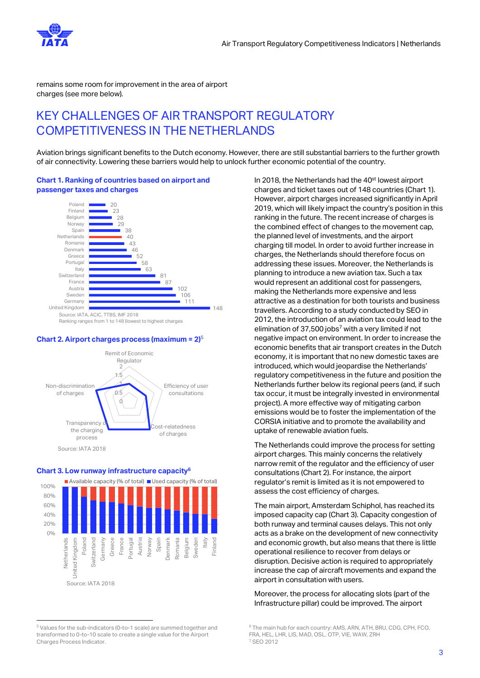remains some room for improvement in the area of airport charges (see more below).

## KEY CHALLENGES OF AIR TRANSPORT REGULATORY COMPETITIVENESS IN THE NETHERLANDS

Aviation brings significant benefits to the Dutch economy. However, there are still substantial barriers to the further growth of air connectivity. Lowering these barriers would help to unlock further economic potential of the country.





#### **Chart 2. Airport charges process (maximum = 2)** 5





**Chart 3. Low runway infrastructure capacity<sup>6</sup>**

<sup>5</sup> Values for the sub-indicators (0-to-1 scale) are summed together and transformed to 0-to-10 scale to create a single value for the Airport Charges Process Indicator.

j

In 2018, the Netherlands had the 40<sup>st</sup> lowest airport charges and ticket taxes out of 148 countries (Chart 1). However, airport charges increased significantly in April 2019, which will likely impact the country's position in this ranking in the future. The recent increase of charges is the combined effect of changes to the movement cap, the planned level of investments, and the airport charging till model. In order to avoid further increase in charges, the Netherlands should therefore focus on addressing these issues. Moreover, the Netherlands is planning to introduce a new aviation tax. Such a tax would represent an additional cost for passengers, making the Netherlands more expensive and less attractive as a destination for both tourists and business travellers. According to a study conducted by SEO in 2012, the introduction of an aviation tax could lead to the elimination of 37,500 jobs<sup>7</sup> with a very limited if not negative impact on environment. In order to increase the economic benefits that air transport creates in the Dutch economy, it is important that no new domestic taxes are introduced, which would jeopardise the Netherlands' regulatory competitiveness in the future and position the Netherlands further below its regional peers (and, if such tax occur, it must be integrally invested in environmental project). A more effective way of mitigating carbon emissions would be to foster the implementation of the CORSIA initiative and to promote the availability and uptake of renewable aviation fuels.

The Netherlands could improve the process for setting airport charges. This mainly concerns the relatively narrow remit of the regulator and the efficiency of user consultations (Chart 2). For instance, the airport regulator's remit is limited as it is not empowered to assess the cost efficiency of charges.

The main airport, Amsterdam Schiphol, has reached its imposed capacity cap (Chart 3). Capacity congestion of both runway and terminal causes delays. This not only acts as a brake on the development of new connectivity and economic growth, but also means that there is little operational resilience to recover from delays or disruption. Decisive action is required to appropriately increase the cap of aircraft movements and expand the airport in consultation with users.

Moreover, the process for allocating slots (part of the Infrastructure pillar) could be improved. The airport

<sup>&</sup>lt;sup>6</sup> The main hub for each country: AMS, ARN, ATH, BRU, CDG, CPH, FCO, FRA, HEL, LHR, LIS, MAD, OSL, OTP, VIE, WAW, ZRH <sup>7</sup> SEO 2012